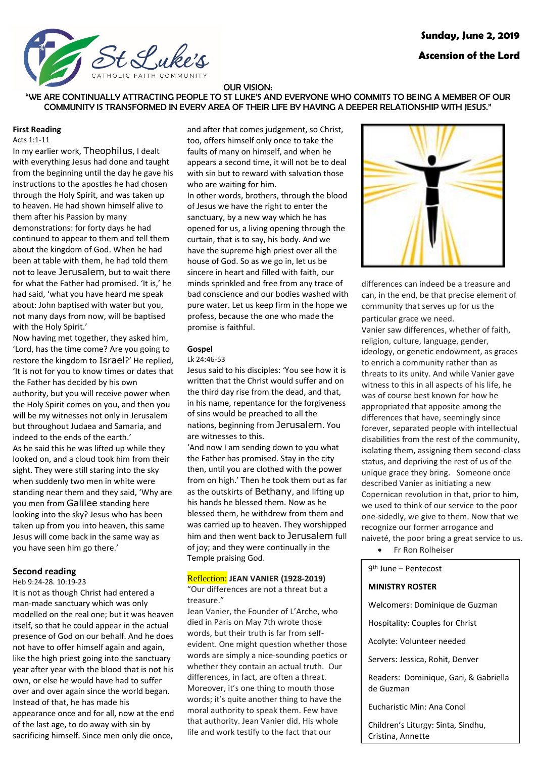**Ascension of the Lord**



#### OUR VISION:

"WE ARE CONTINUALLY ATTRACTING PEOPLE TO ST LUKE'S AND EVERYONE WHO COMMITS TO BEING A MEMBER OF OUR COMMUNITY IS TRANSFORMED IN EVERY AREA OF THEIR LIFE BY HAVING A DEEPER RELATIONSHIP WITH JESUS."

## **First Reading**

#### Acts 1:1-11

In my earlier work, [Theophilus](http://liturgyhelp.com.au/resource_file/wav/Theophilus.mp3), I dealt with everything Jesus had done and taught from the beginning until the day he gave his instructions to the apostles he had chosen through the Holy Spirit, and was taken up to heaven. He had shown himself alive to them after his Passion by many demonstrations: for forty days he had continued to appear to them and tell them about the kingdom of God. When he had been at table with them, he had told them not to leave [Jerusalem](http://liturgyhelp.com.au/resource_file/wav/Jerusalem.mp3), but to wait there for what the Father had promised. 'It is,' he had said, 'what you have heard me speak about: John baptised with water but you, not many days from now, will be baptised with the Holy Spirit.'

Now having met together, they asked him, 'Lord, has the time come? Are you going to restore the kingdom to [Israel](http://liturgyhelp.com.au/resource_file/wav/Israel.mp3)?' He replied, 'It is not for you to know times or dates that the Father has decided by his own authority, but you will receive power when the Holy Spirit comes on you, and then you will be my witnesses not only in [Jerusalem](http://liturgyhelp.com.au/resource_file/wav/Jerusalem.mp3) but throughout Judaea and [Samaria,](http://liturgyhelp.com.au/resource_file/wav/Samaria.mp3) and indeed to the ends of the earth.' As he said this he was lifted up while they looked on, and a cloud took him from their sight. They were still staring into the sky when suddenly two men in white were standing near them and they said, 'Why are you men from [Galilee](http://liturgyhelp.com.au/resource_file/wav/Galilee.mp3) standing here looking into the sky? Jesus who has been taken up from you into heaven, this same Jesus will come back in the same way as you have seen him go there.'

## **Second reading**

#### Heb 9:24-28. 10:19-23

It is not as though Christ had entered a man-made sanctuary which was only modelled on the real one; but it was heaven itself, so that he could appear in the actual presence of God on our behalf. And he does not have to offer himself again and again, like the high priest going into the sanctuary year after year with the blood that is not his own, or else he would have had to suffer over and over again since the world began. Instead of that, he has made his appearance once and for all, now at the end of the last age, to do away with sin by sacrificing himself. Since men only die once,

and after that comes judgement, so Christ, too, offers himself only once to take the faults of many on himself, and when he appears a second time, it will not be to deal with sin but to reward with salvation those who are waiting for him.

In other words, brothers, through the blood of Jesus we have the right to enter the sanctuary, by a new way which he has opened for us, a living opening through the curtain, that is to say, his body. And we have the supreme high priest over all the house of God. So as we go in, let us be sincere in heart and filled with faith, our minds sprinkled and free from any trace of bad conscience and our bodies washed with pure water. Let us keep firm in the hope we profess, because the one who made the promise is faithful.

## **Gospel**

#### Lk 24:46-53

Jesus said to his disciples: 'You see how it is written that the Christ would suffer and on the third day rise from the dead, and that, in his name, repentance for the forgiveness of sins would be preached to all the nations, beginning from [Jerusalem](http://liturgyhelp.com.au/resource_file/wav/Jerusalem.mp3). You are witnesses to this.

'And now I am sending down to you what the Father has promised. Stay in the city then, until you are clothed with the power from on high.' Then he took them out as far as the outskirts of [Bethany](http://liturgyhelp.com.au/resource_file/wav/Bethany.mp3), and lifting up his hands he blessed them. Now as he blessed them, he withdrew from them and was carried up to heaven. They worshipped him and then went back to [Jerusalem](http://liturgyhelp.com.au/resource_file/wav/Jerusalem.mp3) full of joy; and they were continually in the Temple praising God.

#### Reflection: **JEAN VANIER (1928-2019)**

"Our differences are not a threat but a treasure."

Jean Vanier, the Founder of L'Arche, who died in Paris on May 7th wrote those words, but their truth is far from selfevident. One might question whether those words are simply a nice-sounding poetics or whether they contain an actual truth. Our differences, in fact, are often a threat. Moreover, it's one thing to mouth those words; it's quite another thing to have the moral authority to speak them. Few have that authority. Jean Vanier did. His whole life and work testify to the fact that our



differences can indeed be a treasure and can, in the end, be that precise element of community that serves up for us the particular grace we need.

Vanier saw differences, whether of faith, religion, culture, language, gender, ideology, or genetic endowment, as graces to enrich a community rather than as threats to its unity. And while Vanier gave witness to this in all aspects of his life, he was of course best known for how he appropriated that apposite among the differences that have, seemingly since forever, separated people with intellectual disabilities from the rest of the community, isolating them, assigning them second-class status, and depriving the rest of us of the unique grace they bring. Someone once described Vanier as initiating a new Copernican revolution in that, prior to him, we used to think of our service to the poor one-sidedly, we give to them. Now that we recognize our former arrogance and

naiveté, the poor bring a great service to us. • Fr Ron Rolheiser

9<sup>th</sup> June – Pentecost

#### **MINISTRY ROSTER**

Welcomers: Dominique de Guzman

Hospitality: Couples for Christ

Acolyte: Volunteer needed

Servers: Jessica, Rohit, Denver

Readers: Dominique, Gari, & Gabriella de Guzman

Eucharistic Min: Ana Conol

Children's Liturgy: Sinta, Sindhu, Cristina, Annette